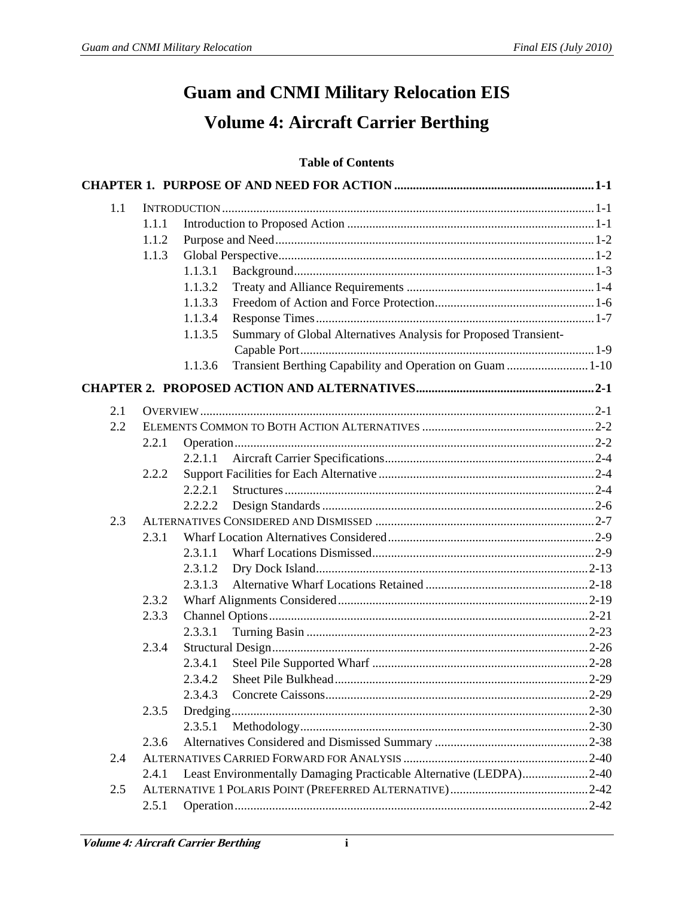## **Guam and CNMI Military Relocation EIS Volume 4: Aircraft Carrier Berthing**

## **Table of Contents**

| 1.1 |       |          |                                                                    |  |  |
|-----|-------|----------|--------------------------------------------------------------------|--|--|
|     | 1.1.1 |          |                                                                    |  |  |
|     | 1.1.2 |          |                                                                    |  |  |
|     | 1.1.3 |          |                                                                    |  |  |
|     |       | 1.1.3.1  |                                                                    |  |  |
|     |       | 1.1.3.2  |                                                                    |  |  |
|     |       | 1.1.3.3  |                                                                    |  |  |
|     |       | 1.1.3.4  |                                                                    |  |  |
|     |       | 1.1.3.5  | Summary of Global Alternatives Analysis for Proposed Transient-    |  |  |
|     |       |          |                                                                    |  |  |
|     |       | 1.1.3.6  | Transient Berthing Capability and Operation on Guam  1-10          |  |  |
|     |       |          |                                                                    |  |  |
| 2.1 |       |          |                                                                    |  |  |
| 2.2 |       |          |                                                                    |  |  |
|     | 2.2.1 |          |                                                                    |  |  |
|     |       | 2.2.1.1  |                                                                    |  |  |
|     | 2.2.2 |          |                                                                    |  |  |
|     |       | 2.2.2.1  |                                                                    |  |  |
|     |       | 2.2.2.2  |                                                                    |  |  |
| 2.3 |       |          |                                                                    |  |  |
|     | 2.3.1 |          |                                                                    |  |  |
|     |       | 2.3.1.1  |                                                                    |  |  |
|     |       | 2.3.1.2  |                                                                    |  |  |
|     |       | 2.3.1.3  |                                                                    |  |  |
|     | 2.3.2 |          |                                                                    |  |  |
|     | 2.3.3 |          |                                                                    |  |  |
|     |       | 2.3.3.1  |                                                                    |  |  |
|     | 2.3.4 |          |                                                                    |  |  |
|     |       | 2.3.4.1  |                                                                    |  |  |
|     |       | 2.3.4.2  |                                                                    |  |  |
|     |       | 2.3.4.3  |                                                                    |  |  |
|     | 2.3.5 | Dredging |                                                                    |  |  |
|     |       | 2.3.5.1  |                                                                    |  |  |
|     | 2.3.6 |          |                                                                    |  |  |
| 2.4 |       |          |                                                                    |  |  |
|     | 2.4.1 |          | Least Environmentally Damaging Practicable Alternative (LEDPA)2-40 |  |  |
| 2.5 |       |          |                                                                    |  |  |
|     | 2.5.1 |          |                                                                    |  |  |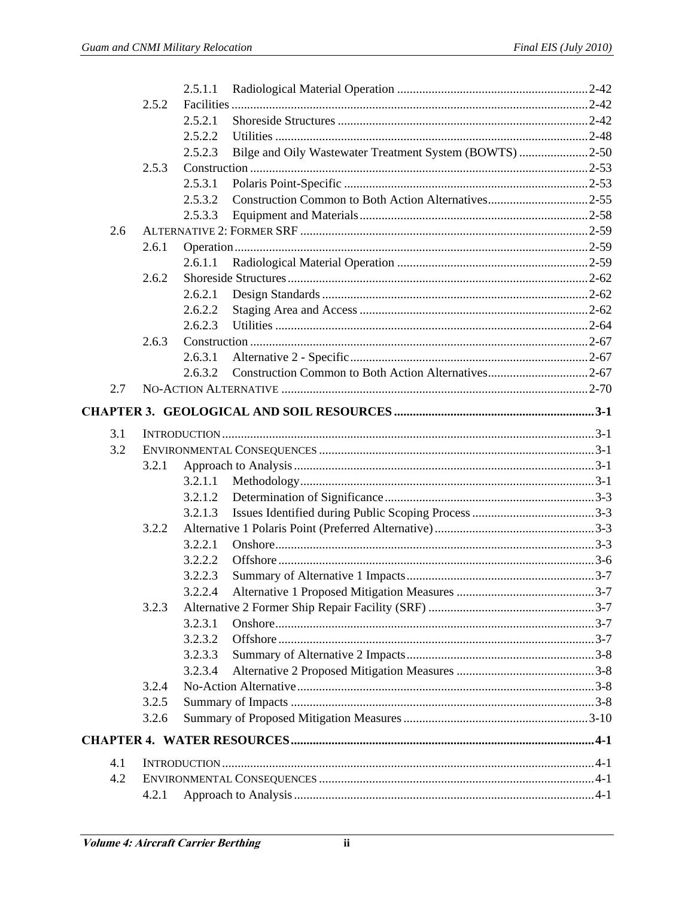|     |       | 2.5.1.1                                                            |  |
|-----|-------|--------------------------------------------------------------------|--|
|     | 2.5.2 |                                                                    |  |
|     |       | 2.5.2.1                                                            |  |
|     |       | 2.5.2.2                                                            |  |
|     |       | Bilge and Oily Wastewater Treatment System (BOWTS) 2-50<br>2.5.2.3 |  |
|     | 2.5.3 |                                                                    |  |
|     |       | 2.5.3.1                                                            |  |
|     |       | 2.5.3.2                                                            |  |
|     |       | 2.5.3.3                                                            |  |
| 2.6 |       |                                                                    |  |
|     | 2.6.1 |                                                                    |  |
|     |       | 2.6.1.1                                                            |  |
|     | 2.6.2 |                                                                    |  |
|     |       | 2.6.2.1                                                            |  |
|     |       | 2.6.2.2                                                            |  |
|     |       | 2.6.2.3                                                            |  |
|     | 2.6.3 |                                                                    |  |
|     |       | 2.6.3.1                                                            |  |
|     |       | 2.6.3.2                                                            |  |
| 2.7 |       |                                                                    |  |
|     |       |                                                                    |  |
| 3.1 |       |                                                                    |  |
| 3.2 |       |                                                                    |  |
|     | 3.2.1 |                                                                    |  |
|     |       | 3.2.1.1                                                            |  |
|     |       | 3.2.1.2                                                            |  |
|     |       | 3.2.1.3                                                            |  |
|     | 3.2.2 |                                                                    |  |
|     |       | 3.2.2.1                                                            |  |
|     |       | 3.2.2.2                                                            |  |
|     |       | 3.2.2.3                                                            |  |
|     |       | 3.2.2.4                                                            |  |
|     | 3.2.3 |                                                                    |  |
|     |       | 3.2.3.1                                                            |  |
|     |       | 3.2.3.2                                                            |  |
|     |       | 3.2.3.3                                                            |  |
|     |       | 3.2.3.4                                                            |  |
|     | 3.2.4 |                                                                    |  |
|     | 3.2.5 |                                                                    |  |
|     | 3.2.6 |                                                                    |  |
|     |       |                                                                    |  |
|     |       |                                                                    |  |
| 4.1 |       |                                                                    |  |
| 4.2 |       |                                                                    |  |
|     | 4.2.1 |                                                                    |  |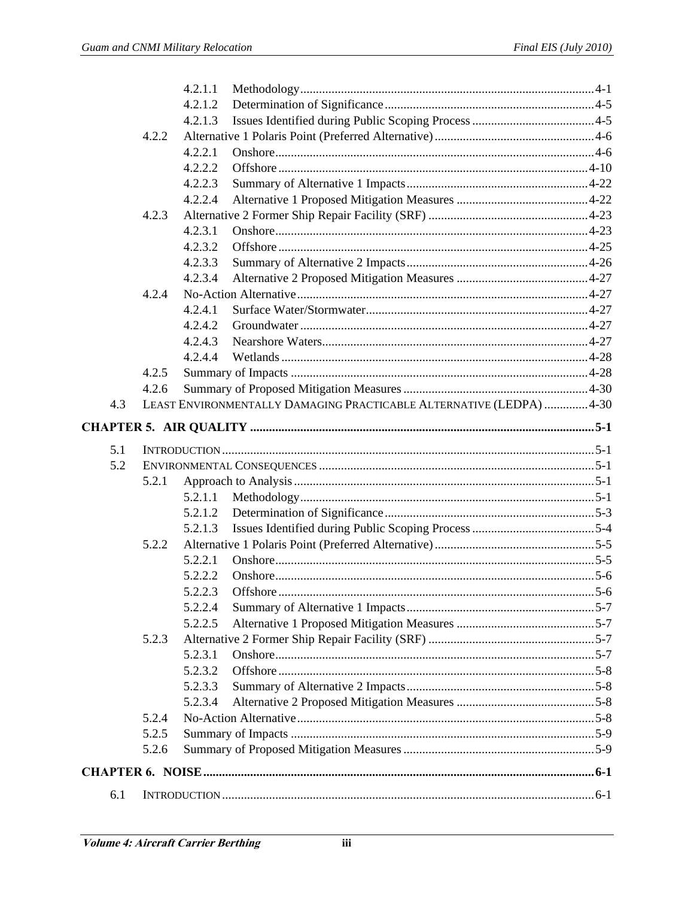|     |       | 4.2.1.1                                                             |  |
|-----|-------|---------------------------------------------------------------------|--|
|     |       | 4.2.1.2                                                             |  |
|     |       | 4.2.1.3                                                             |  |
|     | 4.2.2 |                                                                     |  |
|     |       | 4.2.2.1                                                             |  |
|     |       | 4.2.2.2                                                             |  |
|     |       | 4.2.2.3                                                             |  |
|     |       | 4.2.2.4                                                             |  |
|     | 4.2.3 |                                                                     |  |
|     |       | 4.2.3.1                                                             |  |
|     |       | 4.2.3.2                                                             |  |
|     |       | 4.2.3.3                                                             |  |
|     |       | 4.2.3.4                                                             |  |
|     | 4.2.4 |                                                                     |  |
|     |       | 4.2.4.1                                                             |  |
|     |       | 4.2.4.2                                                             |  |
|     |       | 4.2.4.3                                                             |  |
|     |       | 4.2.4.4                                                             |  |
|     | 4.2.5 |                                                                     |  |
|     | 4.2.6 |                                                                     |  |
| 4.3 |       | LEAST ENVIRONMENTALLY DAMAGING PRACTICABLE ALTERNATIVE (LEDPA) 4-30 |  |
|     |       |                                                                     |  |
|     |       |                                                                     |  |
| 5.1 |       |                                                                     |  |
| 5.2 |       |                                                                     |  |
|     | 5.2.1 |                                                                     |  |
|     |       | 5.2.1.1                                                             |  |
|     |       | 5.2.1.2                                                             |  |
|     |       | 5.2.1.3                                                             |  |
|     | 5.2.2 |                                                                     |  |
|     |       | 5.2.2.1                                                             |  |
|     |       | 5.2.2.2                                                             |  |
|     |       | 5.2.2.3                                                             |  |
|     |       | 5.2.2.4                                                             |  |
|     |       | 5.2.2.5                                                             |  |
|     | 5.2.3 |                                                                     |  |
|     |       | 5.2.3.1                                                             |  |
|     |       | 5.2.3.2                                                             |  |
|     |       | 5.2.3.3                                                             |  |
|     |       | 5.2.3.4                                                             |  |
|     | 5.2.4 |                                                                     |  |
|     | 5.2.5 |                                                                     |  |
|     | 5.2.6 |                                                                     |  |
|     |       |                                                                     |  |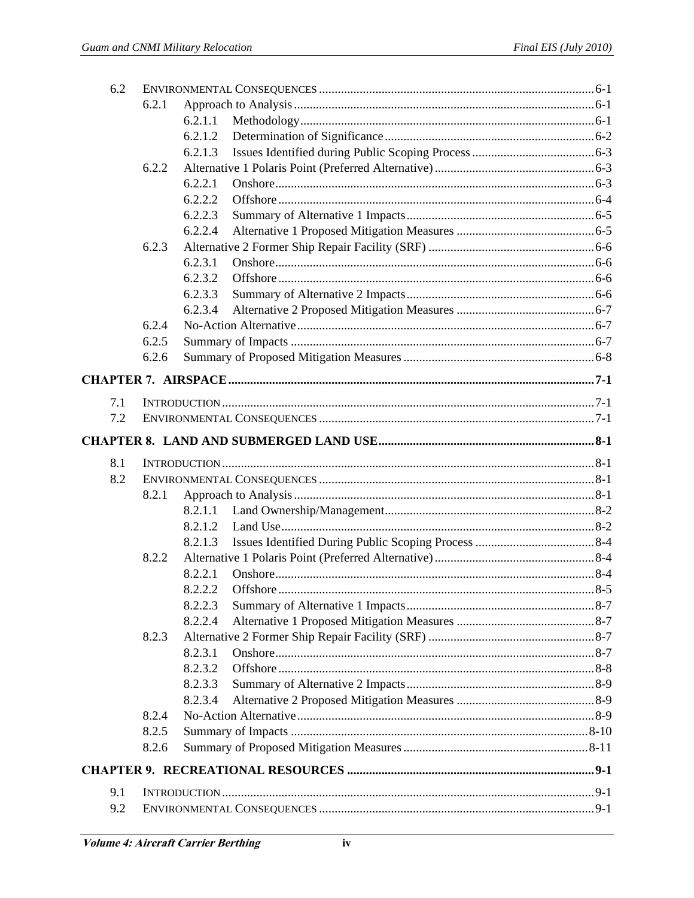|     | 6.2.1 |                           |  |
|-----|-------|---------------------------|--|
|     |       | 6.2.1.1                   |  |
|     |       | 6.2.1.2                   |  |
|     |       | 6.2.1.3                   |  |
|     | 6.2.2 |                           |  |
|     |       | 6.2.2.1                   |  |
|     |       | 6.2.2.2                   |  |
|     |       | 6.2.2.3                   |  |
|     |       | 6.2.2.4                   |  |
|     | 6.2.3 |                           |  |
|     |       | 6.2.3.1                   |  |
|     |       | 6.2.3.2                   |  |
|     |       | 6.2.3.3                   |  |
|     |       | 6.2.3.4                   |  |
|     | 6.2.4 |                           |  |
|     | 6.2.5 |                           |  |
|     | 6.2.6 |                           |  |
|     |       |                           |  |
| 7.1 |       |                           |  |
| 7.2 |       |                           |  |
|     |       |                           |  |
|     |       |                           |  |
| 8.1 |       |                           |  |
|     |       |                           |  |
| 8.2 |       |                           |  |
|     | 8.2.1 |                           |  |
|     |       | 8.2.1.1                   |  |
|     |       | 8.2.1.2                   |  |
|     |       | 8.2.1.3                   |  |
|     | 8.2.2 |                           |  |
|     |       | 8.2.2.1                   |  |
|     |       | 8222<br>Offshore<br>$8-5$ |  |
|     |       | 8.2.2.3                   |  |
|     |       | 8.2.2.4                   |  |
|     | 8.2.3 |                           |  |
|     |       | 8.2.3.1                   |  |
|     |       | 8.2.3.2                   |  |
|     |       | 8.2.3.3                   |  |
|     |       | 8.2.3.4                   |  |
|     | 8.2.4 |                           |  |
|     | 8.2.5 |                           |  |
|     | 8.2.6 |                           |  |
|     |       |                           |  |
| 9.1 |       |                           |  |
| 9.2 |       |                           |  |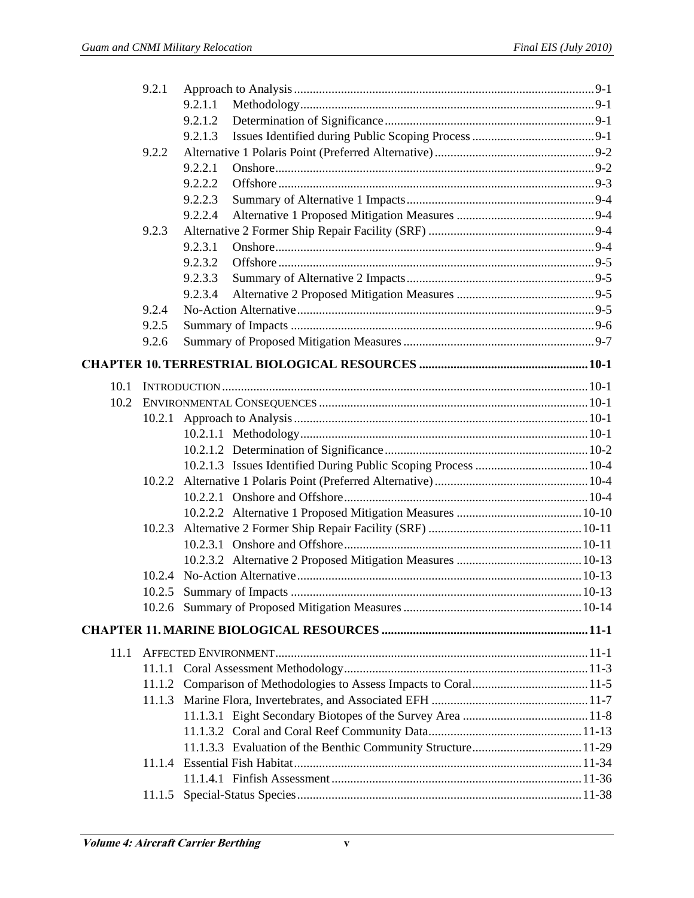|      | 9.2.1  |         |  |
|------|--------|---------|--|
|      |        | 9.2.1.1 |  |
|      |        | 9.2.1.2 |  |
|      |        | 9.2.1.3 |  |
|      | 9.2.2  |         |  |
|      |        | 9.2.2.1 |  |
|      |        | 9.2.2.2 |  |
|      |        | 9.2.2.3 |  |
|      |        | 9.2.2.4 |  |
|      | 9.2.3  |         |  |
|      |        | 9.2.3.1 |  |
|      |        | 9.2.3.2 |  |
|      |        | 9.2.3.3 |  |
|      |        | 9.2.3.4 |  |
|      | 9.2.4  |         |  |
|      | 9.2.5  |         |  |
|      | 9.2.6  |         |  |
|      |        |         |  |
| 10.1 |        |         |  |
| 10.2 |        |         |  |
|      | 10.2.1 |         |  |
|      |        |         |  |
|      |        |         |  |
|      |        |         |  |
|      | 10.2.2 |         |  |
|      |        |         |  |
|      |        |         |  |
|      | 10.2.3 |         |  |
|      |        |         |  |
|      |        |         |  |
|      |        |         |  |
|      |        |         |  |
|      |        |         |  |
|      |        |         |  |
|      |        |         |  |
| 11.1 |        |         |  |
|      |        |         |  |
|      |        |         |  |
|      |        |         |  |
|      |        |         |  |
|      |        |         |  |
|      |        |         |  |
|      |        |         |  |
|      |        |         |  |
|      |        |         |  |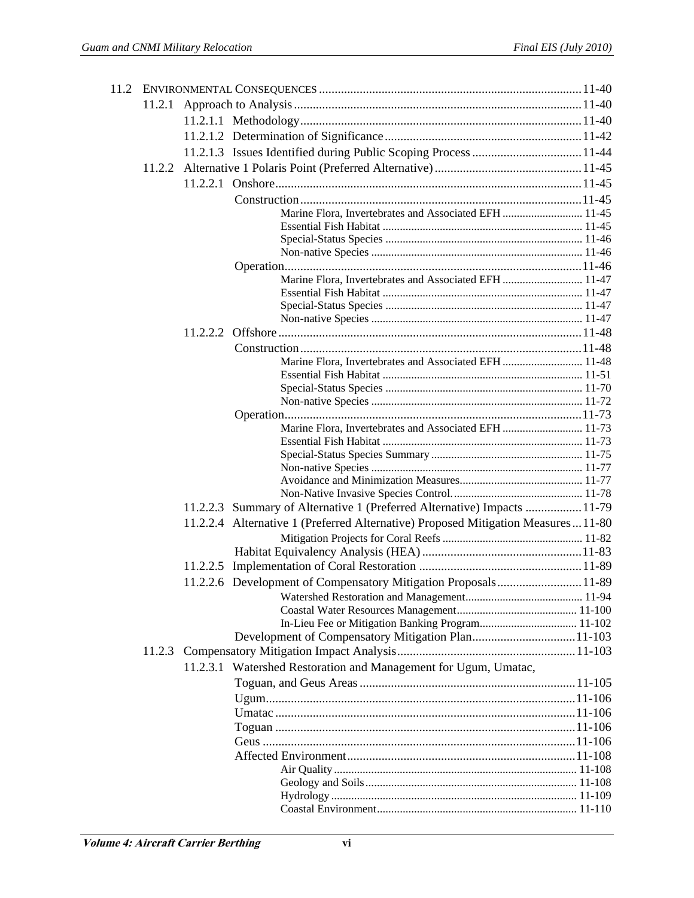| 11.2.1 |                                                                                    |  |
|--------|------------------------------------------------------------------------------------|--|
|        |                                                                                    |  |
|        |                                                                                    |  |
|        |                                                                                    |  |
|        |                                                                                    |  |
|        |                                                                                    |  |
|        |                                                                                    |  |
|        |                                                                                    |  |
|        | Marine Flora, Invertebrates and Associated EFH  11-45                              |  |
|        |                                                                                    |  |
|        |                                                                                    |  |
|        |                                                                                    |  |
|        | Marine Flora, Invertebrates and Associated EFH  11-47                              |  |
|        |                                                                                    |  |
|        |                                                                                    |  |
|        |                                                                                    |  |
|        |                                                                                    |  |
|        |                                                                                    |  |
|        | Marine Flora, Invertebrates and Associated EFH  11-48                              |  |
|        |                                                                                    |  |
|        |                                                                                    |  |
|        |                                                                                    |  |
|        |                                                                                    |  |
|        | Marine Flora, Invertebrates and Associated EFH  11-73                              |  |
|        |                                                                                    |  |
|        |                                                                                    |  |
|        |                                                                                    |  |
|        |                                                                                    |  |
|        | 11.2.2.3 Summary of Alternative 1 (Preferred Alternative) Impacts 11-79            |  |
|        | 11.2.2.4 Alternative 1 (Preferred Alternative) Proposed Mitigation Measures  11-80 |  |
|        |                                                                                    |  |
|        |                                                                                    |  |
|        |                                                                                    |  |
|        |                                                                                    |  |
|        | 11.2.2.6 Development of Compensatory Mitigation Proposals 11-89                    |  |
|        |                                                                                    |  |
|        |                                                                                    |  |
|        |                                                                                    |  |
|        |                                                                                    |  |
|        |                                                                                    |  |
|        | 11.2.3.1 Watershed Restoration and Management for Ugum, Umatac,                    |  |
|        |                                                                                    |  |
|        |                                                                                    |  |
|        |                                                                                    |  |
|        |                                                                                    |  |
|        |                                                                                    |  |
|        |                                                                                    |  |
|        |                                                                                    |  |
|        |                                                                                    |  |
|        |                                                                                    |  |
|        |                                                                                    |  |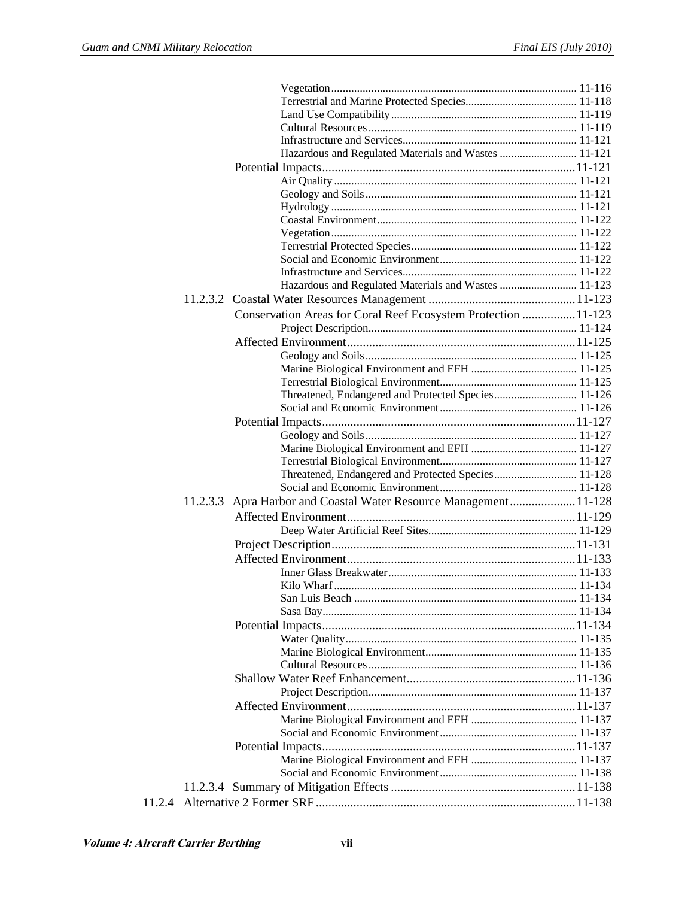|        | Hazardous and Regulated Materials and Wastes  11-121              |
|--------|-------------------------------------------------------------------|
|        |                                                                   |
|        |                                                                   |
|        |                                                                   |
|        |                                                                   |
|        |                                                                   |
|        |                                                                   |
|        |                                                                   |
|        |                                                                   |
|        |                                                                   |
|        | Hazardous and Regulated Materials and Wastes  11-123              |
|        |                                                                   |
|        | Conservation Areas for Coral Reef Ecosystem Protection  11-123    |
|        |                                                                   |
|        |                                                                   |
|        |                                                                   |
|        |                                                                   |
|        |                                                                   |
|        | Threatened, Endangered and Protected Species 11-126               |
|        |                                                                   |
|        |                                                                   |
|        |                                                                   |
|        |                                                                   |
|        |                                                                   |
|        | Threatened, Endangered and Protected Species 11-128               |
|        |                                                                   |
|        |                                                                   |
|        | 11.2.3.3 Apra Harbor and Coastal Water Resource Management 11-128 |
|        |                                                                   |
|        |                                                                   |
|        |                                                                   |
|        |                                                                   |
|        |                                                                   |
|        |                                                                   |
|        |                                                                   |
|        |                                                                   |
|        |                                                                   |
|        |                                                                   |
|        |                                                                   |
|        |                                                                   |
|        |                                                                   |
|        |                                                                   |
|        |                                                                   |
|        |                                                                   |
|        |                                                                   |
|        |                                                                   |
|        |                                                                   |
|        |                                                                   |
|        |                                                                   |
| 11.2.4 |                                                                   |
|        |                                                                   |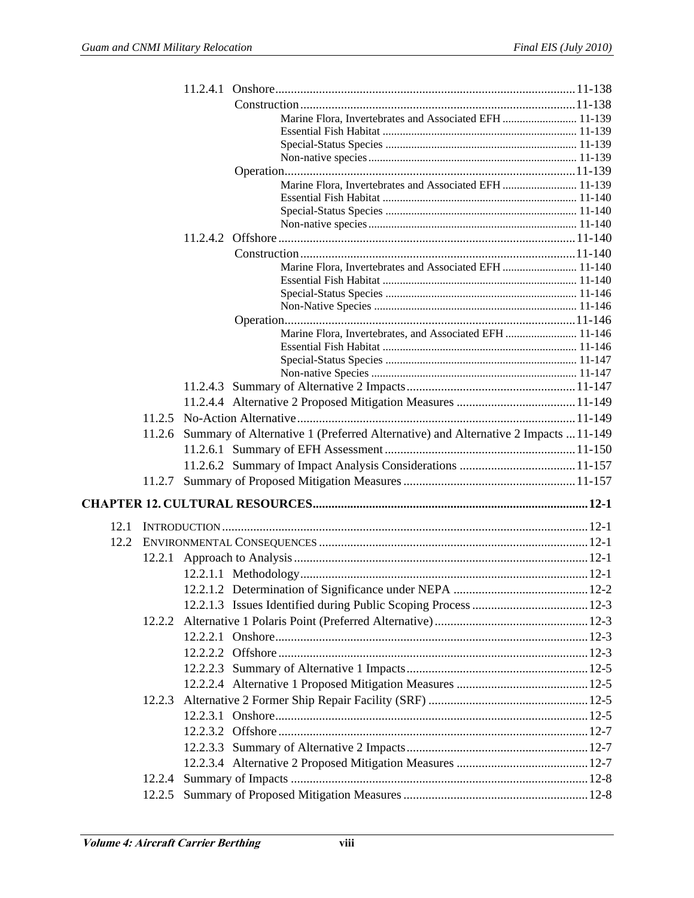|      |        | Marine Flora, Invertebrates and Associated EFH  11-139                             |  |
|------|--------|------------------------------------------------------------------------------------|--|
|      |        |                                                                                    |  |
|      |        |                                                                                    |  |
|      |        |                                                                                    |  |
|      |        |                                                                                    |  |
|      |        | Marine Flora, Invertebrates and Associated EFH  11-139                             |  |
|      |        |                                                                                    |  |
|      |        |                                                                                    |  |
|      |        |                                                                                    |  |
|      |        |                                                                                    |  |
|      |        |                                                                                    |  |
|      |        | Marine Flora, Invertebrates and Associated EFH  11-140                             |  |
|      |        |                                                                                    |  |
|      |        |                                                                                    |  |
|      |        |                                                                                    |  |
|      |        | Marine Flora, Invertebrates, and Associated EFH  11-146                            |  |
|      |        |                                                                                    |  |
|      |        |                                                                                    |  |
|      |        |                                                                                    |  |
|      |        |                                                                                    |  |
|      |        |                                                                                    |  |
|      | 11.2.5 |                                                                                    |  |
|      |        |                                                                                    |  |
|      | 11.2.6 | Summary of Alternative 1 (Preferred Alternative) and Alternative 2 Impacts  11-149 |  |
|      |        |                                                                                    |  |
|      |        |                                                                                    |  |
|      |        |                                                                                    |  |
|      |        |                                                                                    |  |
| 12.1 |        |                                                                                    |  |
|      |        |                                                                                    |  |
|      |        |                                                                                    |  |
|      |        |                                                                                    |  |
|      |        |                                                                                    |  |
|      |        |                                                                                    |  |
|      |        |                                                                                    |  |
|      |        |                                                                                    |  |
|      |        |                                                                                    |  |
|      |        |                                                                                    |  |
|      |        |                                                                                    |  |
|      |        |                                                                                    |  |
|      | 12.2.3 |                                                                                    |  |
|      |        |                                                                                    |  |
|      |        |                                                                                    |  |
|      |        |                                                                                    |  |
|      |        |                                                                                    |  |
|      |        |                                                                                    |  |
|      | 12.2.4 |                                                                                    |  |
|      | 12.2.5 |                                                                                    |  |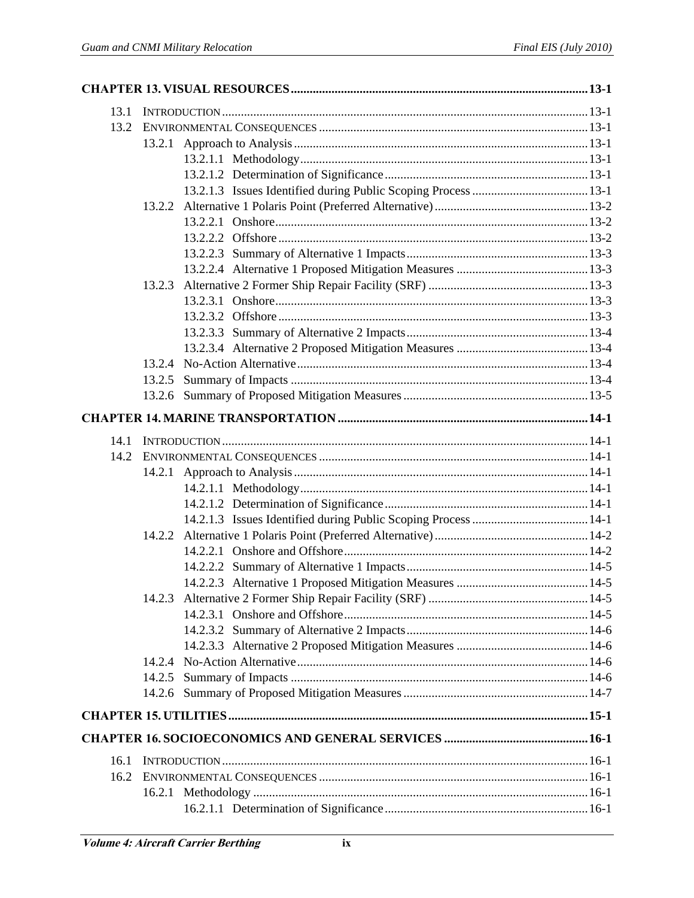| 13.1 |        |  |
|------|--------|--|
| 13.2 |        |  |
|      |        |  |
|      |        |  |
|      |        |  |
|      |        |  |
|      | 13.2.2 |  |
|      |        |  |
|      |        |  |
|      |        |  |
|      |        |  |
|      | 13.2.3 |  |
|      |        |  |
|      |        |  |
|      |        |  |
|      |        |  |
|      |        |  |
|      | 13.2.5 |  |
|      |        |  |
|      |        |  |
| 14.1 |        |  |
| 14.2 |        |  |
|      | 14.2.1 |  |
|      |        |  |
|      |        |  |
|      |        |  |
|      | 14.2.2 |  |
|      |        |  |
|      |        |  |
|      |        |  |
|      |        |  |
|      |        |  |
|      |        |  |
|      |        |  |
|      |        |  |
|      | 14.2.5 |  |
|      |        |  |
|      |        |  |
|      |        |  |
| 16.1 |        |  |
| 16.2 |        |  |
|      |        |  |
|      |        |  |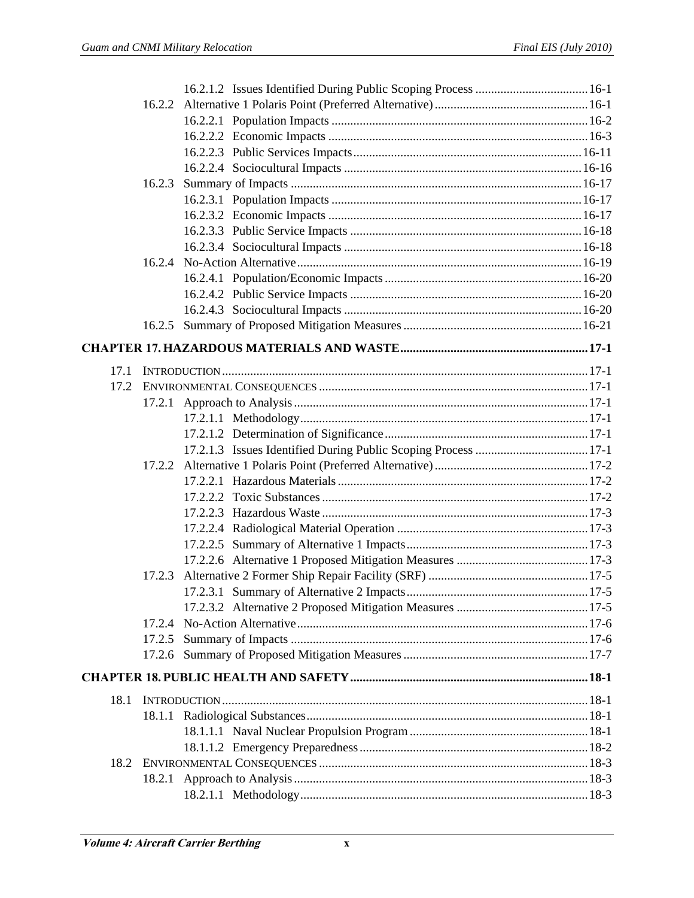|      | 16.2.2 |  |
|------|--------|--|
|      |        |  |
|      |        |  |
|      |        |  |
|      |        |  |
|      | 16.2.3 |  |
|      |        |  |
|      |        |  |
|      |        |  |
|      |        |  |
|      |        |  |
|      |        |  |
|      |        |  |
|      |        |  |
|      | 16.2.5 |  |
|      |        |  |
|      |        |  |
| 17.1 |        |  |
| 17.2 |        |  |
|      | 17.2.1 |  |
|      |        |  |
|      |        |  |
|      |        |  |
|      |        |  |
|      |        |  |
|      |        |  |
|      |        |  |
|      |        |  |
|      |        |  |
|      |        |  |
|      | 17.2.3 |  |
|      |        |  |
|      |        |  |
|      |        |  |
|      |        |  |
|      |        |  |
|      |        |  |
| 18.1 |        |  |
|      |        |  |
|      |        |  |
|      |        |  |
| 18.2 |        |  |
|      |        |  |
|      |        |  |
|      |        |  |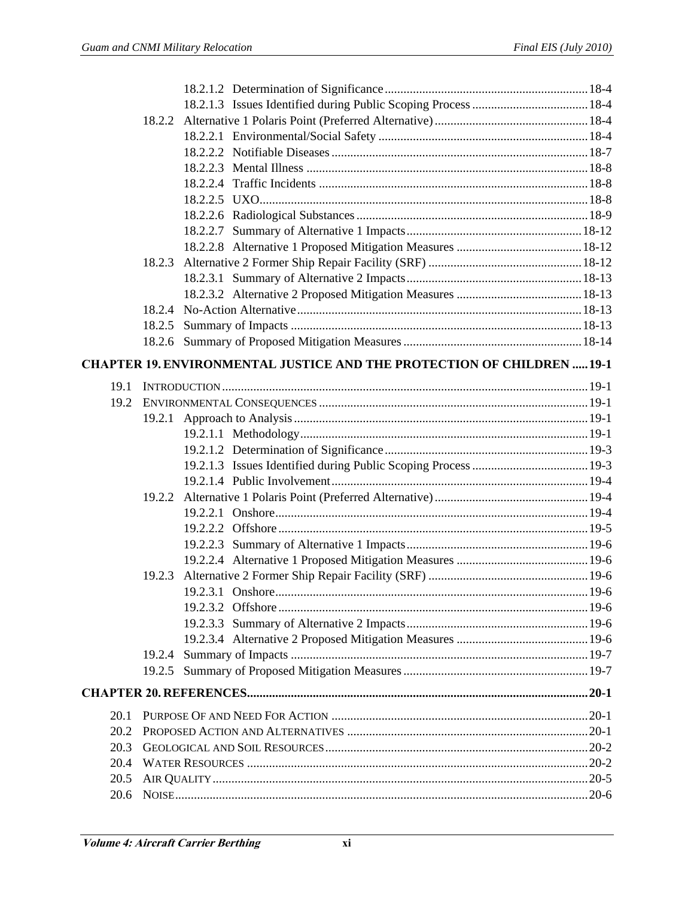|      | 18.2.2 |                                                                               |  |
|------|--------|-------------------------------------------------------------------------------|--|
|      |        |                                                                               |  |
|      |        |                                                                               |  |
|      |        |                                                                               |  |
|      |        |                                                                               |  |
|      |        |                                                                               |  |
|      |        |                                                                               |  |
|      |        |                                                                               |  |
|      |        |                                                                               |  |
|      | 18.2.3 |                                                                               |  |
|      |        |                                                                               |  |
|      |        |                                                                               |  |
|      | 18.2.4 |                                                                               |  |
|      |        |                                                                               |  |
|      |        |                                                                               |  |
|      |        | <b>CHAPTER 19. ENVIRONMENTAL JUSTICE AND THE PROTECTION OF CHILDREN  19-1</b> |  |
|      |        |                                                                               |  |
| 19.1 |        |                                                                               |  |
| 19.2 |        |                                                                               |  |
|      |        |                                                                               |  |
|      |        |                                                                               |  |
|      |        |                                                                               |  |
|      |        |                                                                               |  |
|      |        |                                                                               |  |
|      |        |                                                                               |  |
|      |        |                                                                               |  |
|      |        |                                                                               |  |
|      |        |                                                                               |  |
|      |        |                                                                               |  |
|      | 19.2.3 |                                                                               |  |
|      |        |                                                                               |  |
|      |        |                                                                               |  |
|      |        |                                                                               |  |
|      |        |                                                                               |  |
|      | 19.2.4 |                                                                               |  |
|      | 19.2.5 |                                                                               |  |
|      |        |                                                                               |  |
| 20.1 |        |                                                                               |  |
| 20.2 |        |                                                                               |  |
| 20.3 |        |                                                                               |  |
| 20.4 |        |                                                                               |  |
| 20.5 |        |                                                                               |  |
| 20.6 |        |                                                                               |  |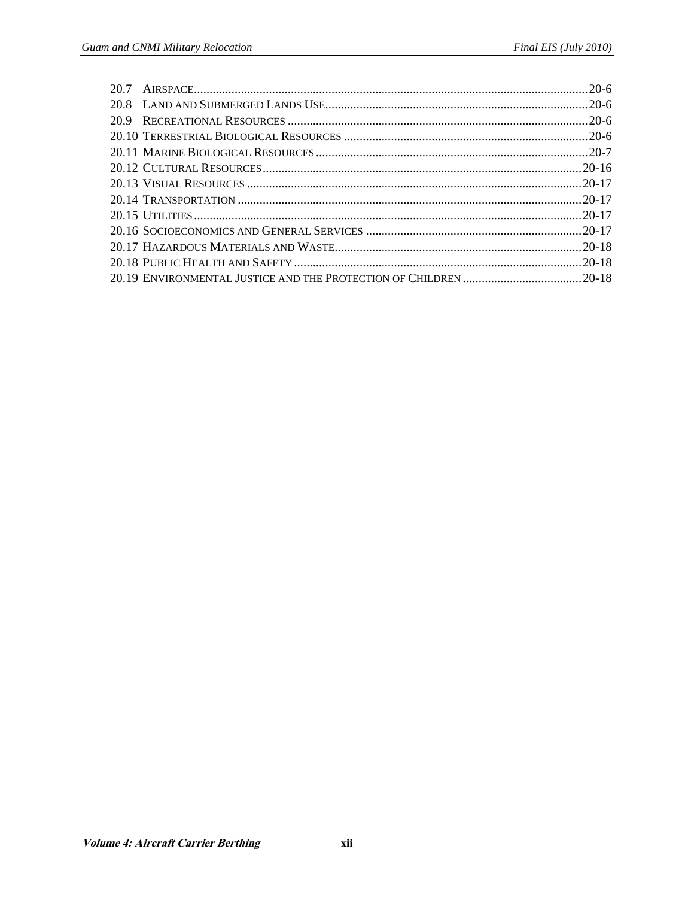| 20.7 |  |
|------|--|
| 20.8 |  |
| 20.9 |  |
|      |  |
|      |  |
|      |  |
|      |  |
|      |  |
|      |  |
|      |  |
|      |  |
|      |  |
|      |  |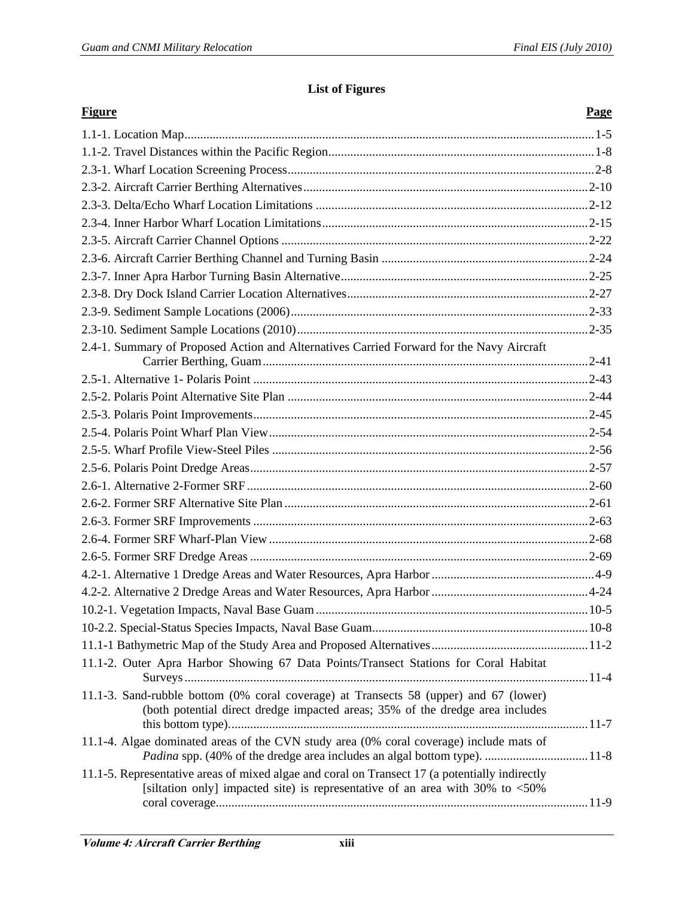## **List of Figures**

| <b>Figure</b>                                                                                                                                                                      | <b>Page</b> |
|------------------------------------------------------------------------------------------------------------------------------------------------------------------------------------|-------------|
|                                                                                                                                                                                    |             |
|                                                                                                                                                                                    |             |
|                                                                                                                                                                                    |             |
|                                                                                                                                                                                    |             |
|                                                                                                                                                                                    |             |
|                                                                                                                                                                                    |             |
|                                                                                                                                                                                    |             |
|                                                                                                                                                                                    |             |
|                                                                                                                                                                                    |             |
|                                                                                                                                                                                    |             |
|                                                                                                                                                                                    |             |
|                                                                                                                                                                                    |             |
| 2.4-1. Summary of Proposed Action and Alternatives Carried Forward for the Navy Aircraft                                                                                           |             |
|                                                                                                                                                                                    |             |
|                                                                                                                                                                                    |             |
|                                                                                                                                                                                    |             |
|                                                                                                                                                                                    |             |
|                                                                                                                                                                                    |             |
|                                                                                                                                                                                    |             |
|                                                                                                                                                                                    |             |
|                                                                                                                                                                                    |             |
|                                                                                                                                                                                    |             |
|                                                                                                                                                                                    |             |
|                                                                                                                                                                                    |             |
|                                                                                                                                                                                    |             |
|                                                                                                                                                                                    |             |
|                                                                                                                                                                                    |             |
|                                                                                                                                                                                    |             |
|                                                                                                                                                                                    |             |
| 11.1-2. Outer Apra Harbor Showing 67 Data Points/Transect Stations for Coral Habitat                                                                                               |             |
|                                                                                                                                                                                    |             |
| 11.1-3. Sand-rubble bottom (0% coral coverage) at Transects 58 (upper) and 67 (lower)<br>(both potential direct dredge impacted areas; 35% of the dredge area includes             |             |
| 11.1-4. Algae dominated areas of the CVN study area (0% coral coverage) include mats of                                                                                            |             |
| 11.1-5. Representative areas of mixed algae and coral on Transect 17 (a potentially indirectly<br>[siltation only] impacted site) is representative of an area with 30% to $<50\%$ |             |
|                                                                                                                                                                                    |             |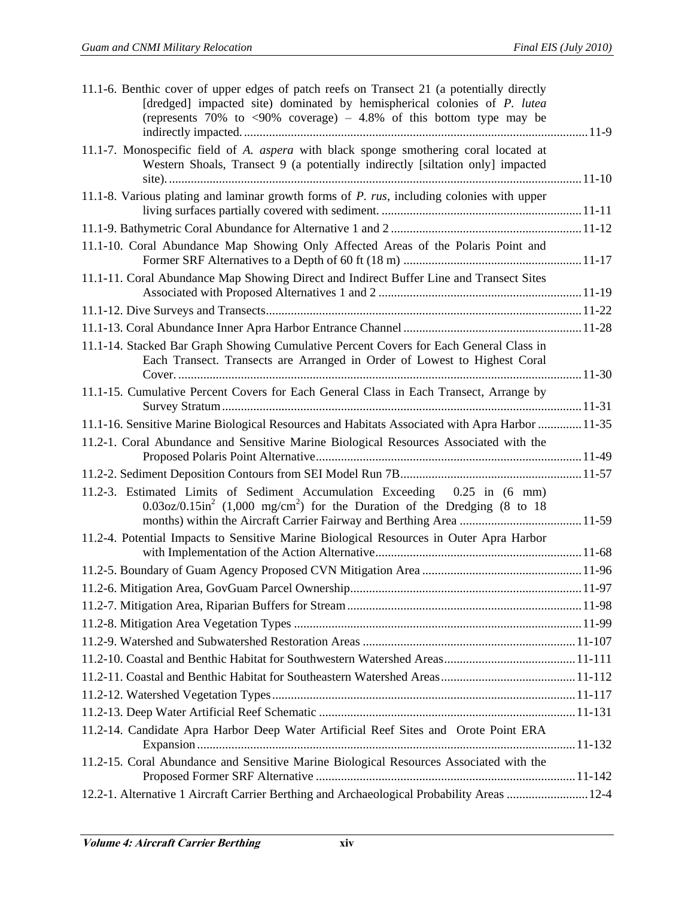| 11.1-6. Benthic cover of upper edges of patch reefs on Transect 21 (a potentially directly<br>[dredged] impacted site) dominated by hemispherical colonies of P. lutea<br>(represents 70% to $\langle 90\%$ coverage) – 4.8% of this bottom type may be |  |
|---------------------------------------------------------------------------------------------------------------------------------------------------------------------------------------------------------------------------------------------------------|--|
| 11.1-7. Monospecific field of A. aspera with black sponge smothering coral located at<br>Western Shoals, Transect 9 (a potentially indirectly [siltation only] impacted                                                                                 |  |
| 11.1-8. Various plating and laminar growth forms of $P$ . $rus$ , including colonies with upper                                                                                                                                                         |  |
|                                                                                                                                                                                                                                                         |  |
| 11.1-10. Coral Abundance Map Showing Only Affected Areas of the Polaris Point and                                                                                                                                                                       |  |
| 11.1-11. Coral Abundance Map Showing Direct and Indirect Buffer Line and Transect Sites                                                                                                                                                                 |  |
|                                                                                                                                                                                                                                                         |  |
|                                                                                                                                                                                                                                                         |  |
| 11.1-14. Stacked Bar Graph Showing Cumulative Percent Covers for Each General Class in<br>Each Transect. Transects are Arranged in Order of Lowest to Highest Coral                                                                                     |  |
|                                                                                                                                                                                                                                                         |  |
| 11.1-15. Cumulative Percent Covers for Each General Class in Each Transect, Arrange by                                                                                                                                                                  |  |
| 11.1-16. Sensitive Marine Biological Resources and Habitats Associated with Apra Harbor  11-35                                                                                                                                                          |  |
| 11.2-1. Coral Abundance and Sensitive Marine Biological Resources Associated with the                                                                                                                                                                   |  |
|                                                                                                                                                                                                                                                         |  |
| 11.2-3. Estimated Limits of Sediment Accumulation Exceeding 0.25 in (6 mm)<br>$0.03\text{o}z/0.15\text{in}^2$ (1,000 mg/cm <sup>2</sup> ) for the Duration of the Dredging (8 to 18                                                                     |  |
| 11.2-4. Potential Impacts to Sensitive Marine Biological Resources in Outer Apra Harbor                                                                                                                                                                 |  |
|                                                                                                                                                                                                                                                         |  |
|                                                                                                                                                                                                                                                         |  |
|                                                                                                                                                                                                                                                         |  |
|                                                                                                                                                                                                                                                         |  |
|                                                                                                                                                                                                                                                         |  |
|                                                                                                                                                                                                                                                         |  |
|                                                                                                                                                                                                                                                         |  |
|                                                                                                                                                                                                                                                         |  |
|                                                                                                                                                                                                                                                         |  |
| 11.2-14. Candidate Apra Harbor Deep Water Artificial Reef Sites and Orote Point ERA                                                                                                                                                                     |  |
| 11.2-15. Coral Abundance and Sensitive Marine Biological Resources Associated with the                                                                                                                                                                  |  |
| 12-2-1. Alternative 1 Aircraft Carrier Berthing and Archaeological Probability Areas  12-4                                                                                                                                                              |  |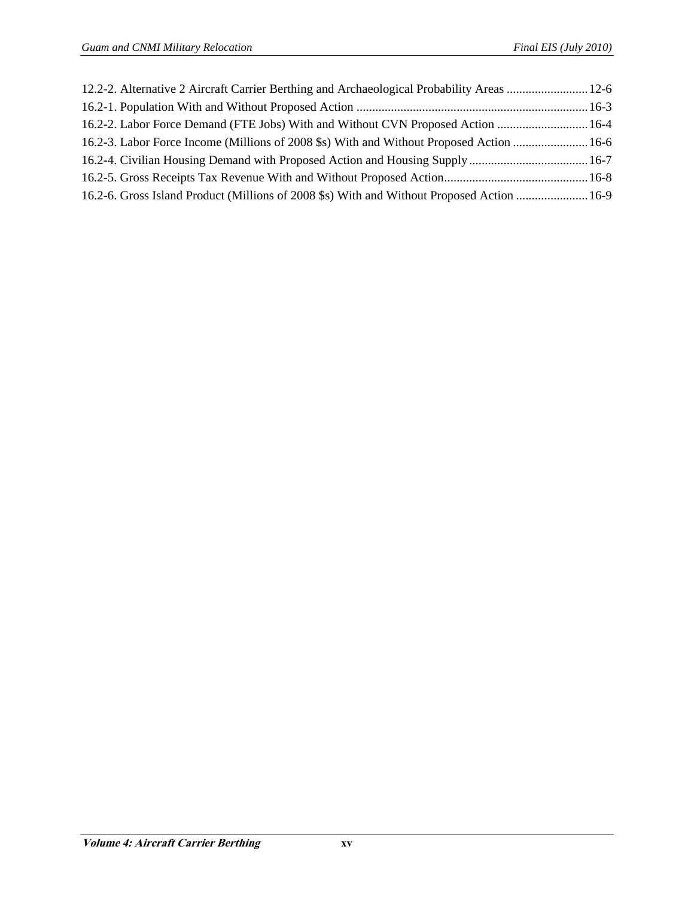| 12.2-2. Alternative 2 Aircraft Carrier Berthing and Archaeological Probability Areas  12-6 |  |
|--------------------------------------------------------------------------------------------|--|
|                                                                                            |  |
| 16.2-2. Labor Force Demand (FTE Jobs) With and Without CVN Proposed Action  16-4           |  |
| 16.2-3. Labor Force Income (Millions of 2008 \$s) With and Without Proposed Action  16-6   |  |
|                                                                                            |  |
|                                                                                            |  |
| 16.2-6. Gross Island Product (Millions of 2008 \$s) With and Without Proposed Action  16-9 |  |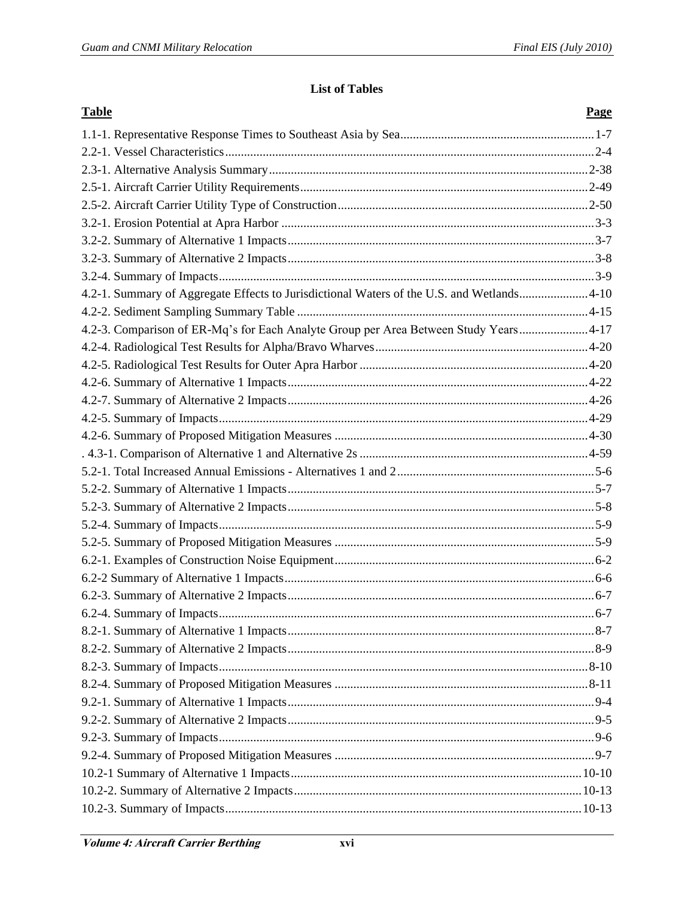## **List of Tables**

| <b>Table</b>                                                                              | Page |
|-------------------------------------------------------------------------------------------|------|
|                                                                                           |      |
|                                                                                           |      |
|                                                                                           |      |
|                                                                                           |      |
|                                                                                           |      |
|                                                                                           |      |
|                                                                                           |      |
|                                                                                           |      |
|                                                                                           |      |
| 4.2-1. Summary of Aggregate Effects to Jurisdictional Waters of the U.S. and Wetlands4-10 |      |
|                                                                                           |      |
| 4.2-3. Comparison of ER-Mq's for Each Analyte Group per Area Between Study Years 4-17     |      |
|                                                                                           |      |
|                                                                                           |      |
|                                                                                           |      |
|                                                                                           |      |
|                                                                                           |      |
|                                                                                           |      |
|                                                                                           |      |
|                                                                                           |      |
|                                                                                           |      |
|                                                                                           |      |
|                                                                                           |      |
|                                                                                           |      |
|                                                                                           |      |
|                                                                                           |      |
|                                                                                           |      |
|                                                                                           |      |
|                                                                                           |      |
|                                                                                           |      |
|                                                                                           |      |
|                                                                                           |      |
|                                                                                           |      |
|                                                                                           |      |
|                                                                                           |      |
|                                                                                           |      |
|                                                                                           |      |
|                                                                                           |      |
|                                                                                           |      |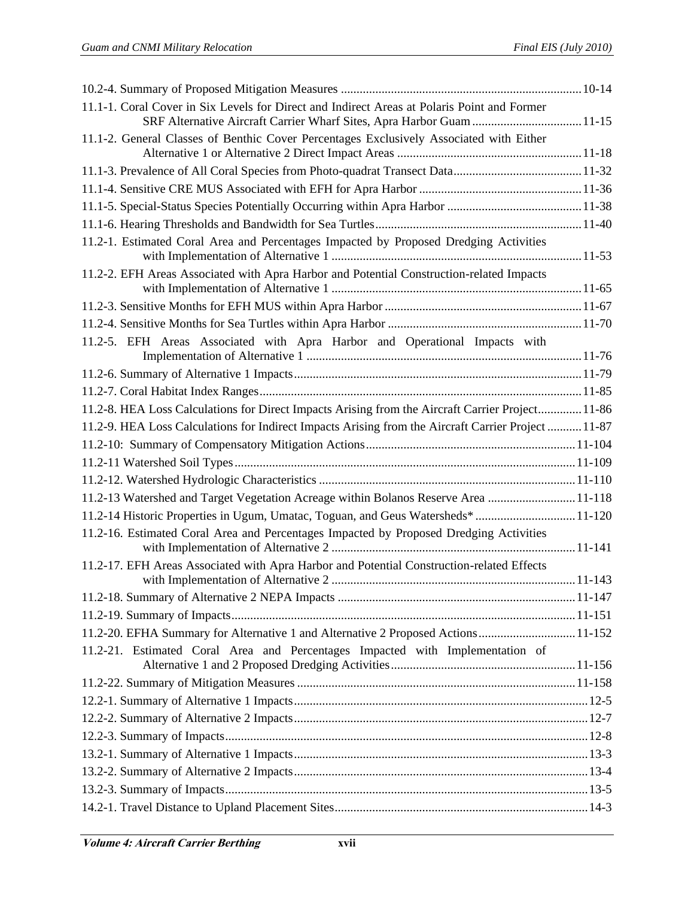| 11.1-1. Coral Cover in Six Levels for Direct and Indirect Areas at Polaris Point and Former<br>SRF Alternative Aircraft Carrier Wharf Sites, Apra Harbor Guam 11-15 |  |
|---------------------------------------------------------------------------------------------------------------------------------------------------------------------|--|
| 11.1-2. General Classes of Benthic Cover Percentages Exclusively Associated with Either                                                                             |  |
|                                                                                                                                                                     |  |
|                                                                                                                                                                     |  |
|                                                                                                                                                                     |  |
|                                                                                                                                                                     |  |
|                                                                                                                                                                     |  |
| 11.2-1. Estimated Coral Area and Percentages Impacted by Proposed Dredging Activities                                                                               |  |
| 11.2-2. EFH Areas Associated with Apra Harbor and Potential Construction-related Impacts                                                                            |  |
|                                                                                                                                                                     |  |
|                                                                                                                                                                     |  |
| 11.2-5. EFH Areas Associated with Apra Harbor and Operational Impacts with                                                                                          |  |
|                                                                                                                                                                     |  |
|                                                                                                                                                                     |  |
| 11.2-8. HEA Loss Calculations for Direct Impacts Arising from the Aircraft Carrier Project 11-86                                                                    |  |
| 11.2-9. HEA Loss Calculations for Indirect Impacts Arising from the Aircraft Carrier Project  11-87                                                                 |  |
|                                                                                                                                                                     |  |
|                                                                                                                                                                     |  |
|                                                                                                                                                                     |  |
| 11.2-13 Watershed and Target Vegetation Acreage within Bolanos Reserve Area  11-118                                                                                 |  |
| 11.2-14 Historic Properties in Ugum, Umatac, Toguan, and Geus Watersheds* 11-120                                                                                    |  |
| 11.2-16. Estimated Coral Area and Percentages Impacted by Proposed Dredging Activities                                                                              |  |
| 11.2-17. EFH Areas Associated with Apra Harbor and Potential Construction-related Effects                                                                           |  |
|                                                                                                                                                                     |  |
|                                                                                                                                                                     |  |
|                                                                                                                                                                     |  |
| 11.2-20. EFHA Summary for Alternative 1 and Alternative 2 Proposed Actions 11-152                                                                                   |  |
| 11.2-21. Estimated Coral Area and Percentages Impacted with Implementation of                                                                                       |  |
|                                                                                                                                                                     |  |
|                                                                                                                                                                     |  |
|                                                                                                                                                                     |  |
|                                                                                                                                                                     |  |
|                                                                                                                                                                     |  |
|                                                                                                                                                                     |  |
|                                                                                                                                                                     |  |
|                                                                                                                                                                     |  |